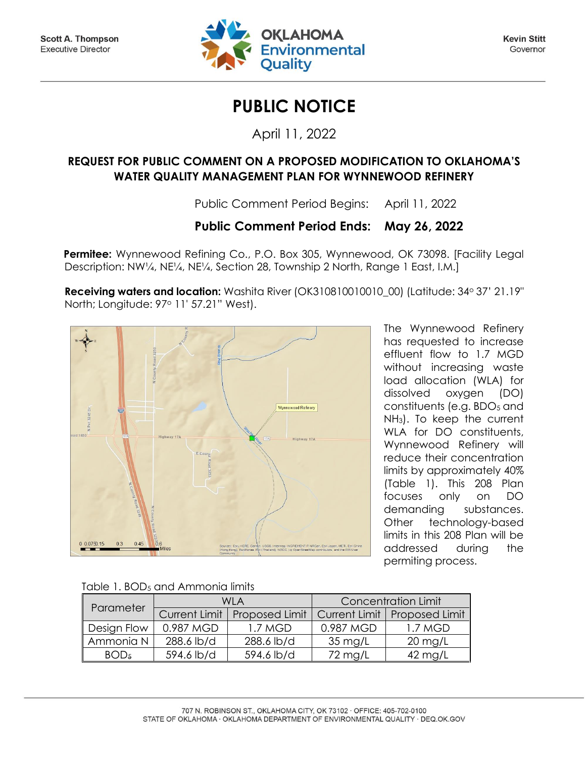

**Kevin Stitt** Governor

## **PUBLIC NOTICE**

April 11, 2022

## **REQUEST FOR PUBLIC COMMENT ON A PROPOSED MODIFICATION TO OKLAHOMA'S WATER QUALITY MANAGEMENT PLAN FOR WYNNEWOOD REFINERY**

Public Comment Period Begins: April 11, 2022

## **Public Comment Period Ends: May 26, 2022**

Permitee: Wynnewood Refining Co., P.O. Box 305, Wynnewood, OK 73098. [Facility Legal] Description: NW<sup>1/4</sup>, NE<sup>1</sup>/4, NE<sup>1</sup>/4, Section 28, Township 2 North, Range 1 East, I.M.]

**Receiving waters and location:** Washita River (OK310810010010\_00) (Latitude: 34° 37' 21.19" North; Longitude: 97<sup>o</sup> 11' 57.21" West).



The Wynnewood Refinery has requested to increase effluent flow to 1.7 MGD without increasing waste load allocation (WLA) for dissolved oxygen (DO) constituents (e.g.  $BDO<sub>5</sub>$  and NH3). To keep the current WLA for DO constituents, Wynnewood Refinery will reduce their concentration limits by approximately 40% (Table 1). This 208 Plan focuses only on DO demanding substances. Other technology-based limits in this 208 Plan will be addressed during the permiting process.

|  | Table 1. BOD <sub>5</sub> and Ammonia limits |  |
|--|----------------------------------------------|--|
|  |                                              |  |

| Parameter        |                      | WI A                  | <b>Concentration Limit</b> |                   |  |
|------------------|----------------------|-----------------------|----------------------------|-------------------|--|
|                  | <b>Current Limit</b> | <b>Proposed Limit</b> | Current Limit              | Proposed Limit    |  |
| Design Flow      | 0.987 MGD            | 1.7 MGD               | 0.987 MGD                  | 1.7 MGD           |  |
| Ammonia N        | 288.6 lb/d           | 288.6 lb/d            | $35 \text{ mg/L}$          | $20 \text{ mg/L}$ |  |
| BOD <sub>5</sub> | 594.6 lb/d           | 594.6 lb/d            | 72 mg/L                    | $42 \text{ mg/L}$ |  |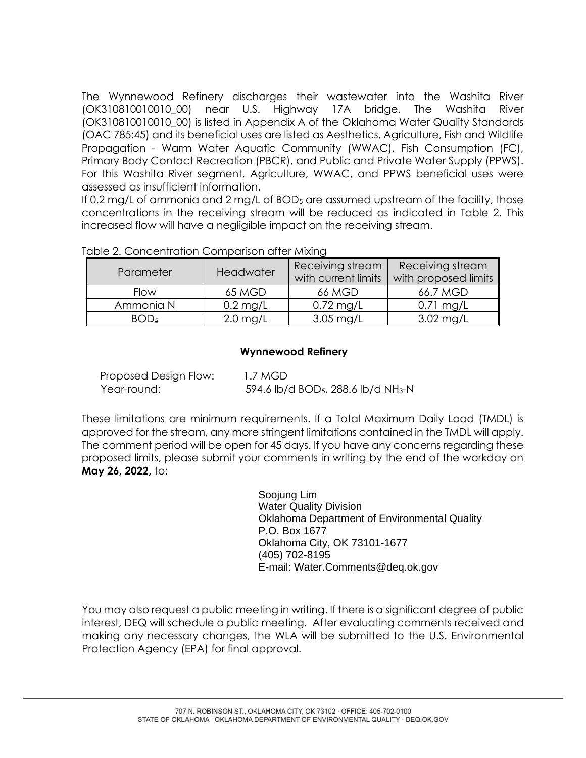The Wynnewood Refinery discharges their wastewater into the Washita River (OK310810010010\_00) near U.S. Highway 17A bridge. The Washita River (OK310810010010\_00) is listed in Appendix A of the Oklahoma Water Quality Standards (OAC 785:45) and its beneficial uses are listed as Aesthetics, Agriculture, Fish and Wildlife Propagation - Warm Water Aquatic Community (WWAC), Fish Consumption (FC), Primary Body Contact Recreation (PBCR), and Public and Private Water Supply (PPWS). For this Washita River segment, Agriculture, WWAC, and PPWS beneficial uses were assessed as insufficient information.

If 0.2 mg/L of ammonia and 2 mg/L of  $BOD<sub>5</sub>$  are assumed upstream of the facility, those concentrations in the receiving stream will be reduced as indicated in Table 2. This increased flow will have a negligible impact on the receiving stream.

| Parameter        | Headwater  | Receiving stream<br>with current limits | Receiving stream<br>with proposed limits |
|------------------|------------|-----------------------------------------|------------------------------------------|
| <b>Flow</b>      | 65 MGD     | 66 MGD                                  | 66.7 MGD                                 |
| Ammonia N        | $0.2$ mg/L | $0.72$ mg/L                             | $0.71$ mg/L                              |
| BOD <sub>5</sub> | $2.0$ mg/L | $3.05 \text{ mg/L}$                     | $3.02 \text{ mg/L}$                      |

Table 2. Concentration Comparison after Mixing

## **Wynnewood Refinery**

| Proposed Design Flow: | 1.7 MGD                                                     |
|-----------------------|-------------------------------------------------------------|
| Year-round:           | 594.6 lb/d BOD <sub>5</sub> , 288.6 lb/d NH <sub>3</sub> -N |

These limitations are minimum requirements. If a Total Maximum Daily Load (TMDL) is approved for the stream, any more stringent limitations contained in the TMDL will apply. The comment period will be open for 45 days. If you have any concerns regarding these proposed limits, please submit your comments in writing by the end of the workday on **May 26, 2022,** to:

> Soojung Lim Water Quality Division Oklahoma Department of Environmental Quality P.O. Box 1677 Oklahoma City, OK 73101-1677 (405) 702-8195 E-mail: Water.Comments@deq.ok.gov

You may also request a public meeting in writing. If there is a significant degree of public interest, DEQ will schedule a public meeting. After evaluating comments received and making any necessary changes, the WLA will be submitted to the U.S. Environmental Protection Agency (EPA) for final approval.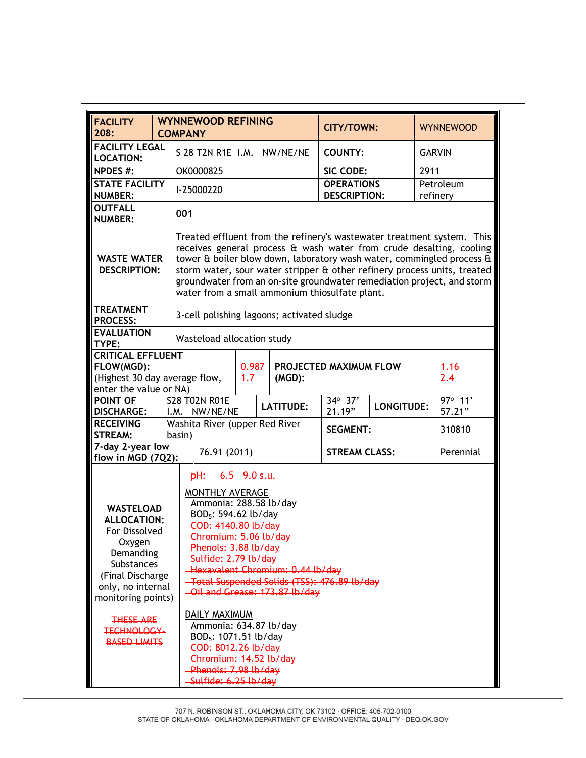| <b>FACILITY</b><br>208:                                                                                                                                                                                                                                                                                                                                                                                                                                                                                                                                                                                                                                                                                                                                       |  | <b>WYNNEWOOD REFINING</b><br><b>COMPANY</b>                                                                                                                                                                                                                                                                                                                                                                                    |                                  |                               |  | <b>CITY/TOWN:</b>                          |                      |                   | <b>WYNNEWOOD</b> |                   |
|---------------------------------------------------------------------------------------------------------------------------------------------------------------------------------------------------------------------------------------------------------------------------------------------------------------------------------------------------------------------------------------------------------------------------------------------------------------------------------------------------------------------------------------------------------------------------------------------------------------------------------------------------------------------------------------------------------------------------------------------------------------|--|--------------------------------------------------------------------------------------------------------------------------------------------------------------------------------------------------------------------------------------------------------------------------------------------------------------------------------------------------------------------------------------------------------------------------------|----------------------------------|-------------------------------|--|--------------------------------------------|----------------------|-------------------|------------------|-------------------|
| <b>FACILITY LEGAL</b><br><b>LOCATION:</b>                                                                                                                                                                                                                                                                                                                                                                                                                                                                                                                                                                                                                                                                                                                     |  |                                                                                                                                                                                                                                                                                                                                                                                                                                | S 28 T2N R1E I.M. NW/NE/NE       |                               |  |                                            | <b>COUNTY:</b>       |                   | <b>GARVIN</b>    |                   |
| <b>NPDES #:</b>                                                                                                                                                                                                                                                                                                                                                                                                                                                                                                                                                                                                                                                                                                                                               |  |                                                                                                                                                                                                                                                                                                                                                                                                                                | OK0000825                        |                               |  |                                            | SIC CODE:            |                   | 2911             |                   |
| <b>STATE FACILITY</b><br><b>NUMBER:</b>                                                                                                                                                                                                                                                                                                                                                                                                                                                                                                                                                                                                                                                                                                                       |  | <b>OPERATIONS</b><br>Petroleum<br>I-25000220<br><b>DESCRIPTION:</b><br>refinery                                                                                                                                                                                                                                                                                                                                                |                                  |                               |  |                                            |                      |                   |                  |                   |
| <b>OUTFALL</b><br><b>NUMBER:</b>                                                                                                                                                                                                                                                                                                                                                                                                                                                                                                                                                                                                                                                                                                                              |  | 001                                                                                                                                                                                                                                                                                                                                                                                                                            |                                  |                               |  |                                            |                      |                   |                  |                   |
| <b>WASTE WATER</b><br><b>DESCRIPTION:</b>                                                                                                                                                                                                                                                                                                                                                                                                                                                                                                                                                                                                                                                                                                                     |  | Treated effluent from the refinery's wastewater treatment system. This<br>receives general process & wash water from crude desalting, cooling<br>tower & boiler blow down, laboratory wash water, commingled process &<br>storm water, sour water stripper & other refinery process units, treated<br>groundwater from an on-site groundwater remediation project, and storm<br>water from a small ammonium thiosulfate plant. |                                  |                               |  |                                            |                      |                   |                  |                   |
| <b>TREATMENT</b><br><b>PROCESS:</b>                                                                                                                                                                                                                                                                                                                                                                                                                                                                                                                                                                                                                                                                                                                           |  |                                                                                                                                                                                                                                                                                                                                                                                                                                |                                  |                               |  | 3-cell polishing lagoons; activated sludge |                      |                   |                  |                   |
| <b>EVALUATION</b><br>TYPE:                                                                                                                                                                                                                                                                                                                                                                                                                                                                                                                                                                                                                                                                                                                                    |  |                                                                                                                                                                                                                                                                                                                                                                                                                                | Wasteload allocation study       |                               |  |                                            |                      |                   |                  |                   |
| <b>CRITICAL EFFLUENT</b><br>FLOW(MGD):<br>(Highest 30 day average flow,<br>enter the value or NA)                                                                                                                                                                                                                                                                                                                                                                                                                                                                                                                                                                                                                                                             |  | 0.987<br>1.7<br>$(MGD)$ :                                                                                                                                                                                                                                                                                                                                                                                                      |                                  | <b>PROJECTED MAXIMUM FLOW</b> |  | 4.16<br>2.4                                |                      |                   |                  |                   |
| POINT OF<br><b>DISCHARGE:</b>                                                                                                                                                                                                                                                                                                                                                                                                                                                                                                                                                                                                                                                                                                                                 |  | I.M.                                                                                                                                                                                                                                                                                                                                                                                                                           | <b>S28 T02N R01E</b><br>NW/NE/NE |                               |  | <b>LATITUDE:</b>                           | 34° 37'<br>21.19"    | <b>LONGITUDE:</b> |                  | 97° 11'<br>57.21" |
| <b>RECEIVING</b><br><b>STREAM:</b>                                                                                                                                                                                                                                                                                                                                                                                                                                                                                                                                                                                                                                                                                                                            |  | basin)                                                                                                                                                                                                                                                                                                                                                                                                                         | Washita River (upper Red River   |                               |  |                                            | <b>SEGMENT:</b>      |                   | 310810           |                   |
| 7-day 2-year low<br>flow in MGD (7Q2):                                                                                                                                                                                                                                                                                                                                                                                                                                                                                                                                                                                                                                                                                                                        |  |                                                                                                                                                                                                                                                                                                                                                                                                                                | 76.91 (2011)                     |                               |  |                                            | <b>STREAM CLASS:</b> |                   | Perennial        |                   |
| $pH: 6.5 - 9.0$ s.u.<br>MONTHLY AVERAGE<br>Ammonia: 288.58 lb/day<br><b>WASTELOAD</b><br>BOD <sub>5</sub> : 594.62 lb/day<br><b>ALLOCATION:</b><br>-COD: 4140.80 lb/day<br>For Dissolved<br>Chromium: 5.06 lb/day<br>Oxygen<br>-Phenols: 3.88 lb/day<br>Demanding<br>Sulfide: 2.79 lb/day<br><b>Substances</b><br>-Hexavalent Chromium: 0.44 lb/day<br>(Final Discharge)<br>Total Suspended Solids (TSS): 476.89 lb/day<br>only, no internal<br>-Oil and Grease: 173.87 lb/day<br>monitoring points)<br><b>DAILY MAXIMUM</b><br><b>THESE ARE</b><br>Ammonia: 634.87 lb/day<br><b>TECHNOLOGY-</b><br>BOD <sub>5</sub> : 1071.51 lb/day<br><b>BASED LIMITS</b><br>COD: 8012.26 lb/day<br>Chromium: 14.52 lb/day<br>Phenols: 7.98 lb/day<br>Sulfide: 6.25 lb/day |  |                                                                                                                                                                                                                                                                                                                                                                                                                                |                                  |                               |  |                                            |                      |                   |                  |                   |